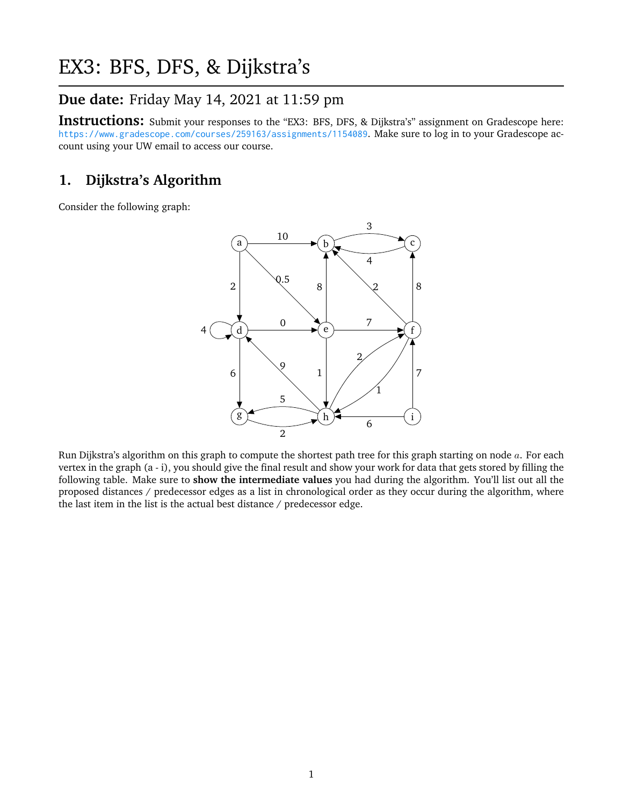# EX3: BFS, DFS, & Dijkstra's

## **Due date:** Friday May 14, 2021 at 11:59 pm

**Instructions:** Submit your responses to the "EX3: BFS, DFS, & Dijkstra's" assignment on Gradescope here: <https://www.gradescope.com/courses/259163/assignments/1154089>. Make sure to log in to your Gradescope account using your UW email to access our course.

#### **1. Dijkstra's Algorithm**

Consider the following graph:



Run Dijkstra's algorithm on this graph to compute the shortest path tree for this graph starting on node  $a$ . For each vertex in the graph (a - i), you should give the final result and show your work for data that gets stored by filling the following table. Make sure to **show the intermediate values** you had during the algorithm. You'll list out all the proposed distances / predecessor edges as a list in chronological order as they occur during the algorithm, where the last item in the list is the actual best distance / predecessor edge.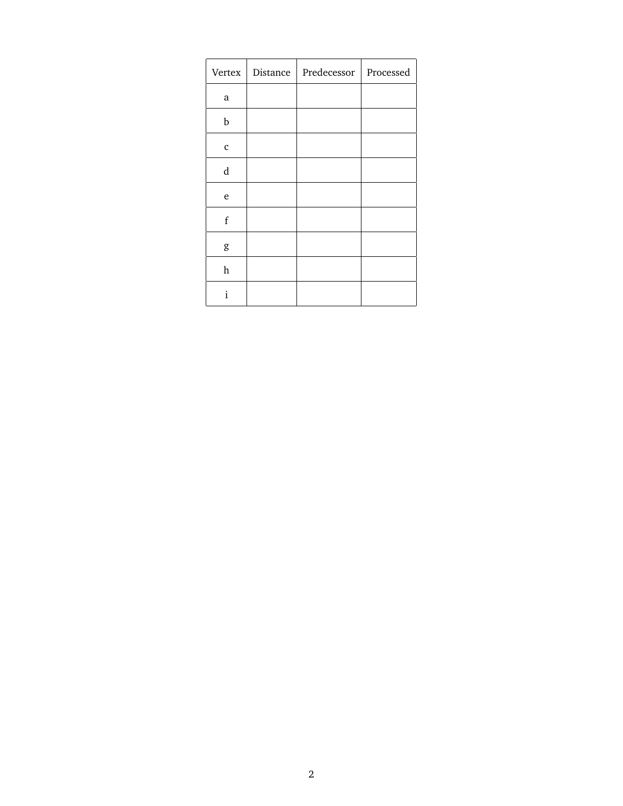| Vertex      | Distance | Predecessor | Processed |
|-------------|----------|-------------|-----------|
| a           |          |             |           |
| b           |          |             |           |
| $\mathbf c$ |          |             |           |
| d           |          |             |           |
| e           |          |             |           |
| $\mathbf f$ |          |             |           |
| g           |          |             |           |
| $\,h$       |          |             |           |
| i           |          |             |           |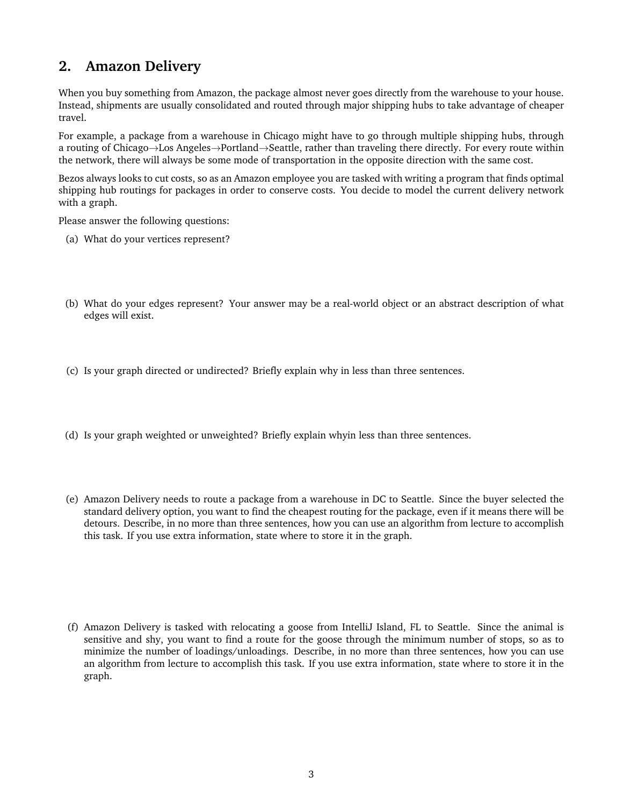## **2. Amazon Delivery**

When you buy something from Amazon, the package almost never goes directly from the warehouse to your house. Instead, shipments are usually consolidated and routed through major shipping hubs to take advantage of cheaper travel.

For example, a package from a warehouse in Chicago might have to go through multiple shipping hubs, through a routing of Chicago→Los Angeles→Portland→Seattle, rather than traveling there directly. For every route within the network, there will always be some mode of transportation in the opposite direction with the same cost.

Bezos always looks to cut costs, so as an Amazon employee you are tasked with writing a program that finds optimal shipping hub routings for packages in order to conserve costs. You decide to model the current delivery network with a graph.

Please answer the following questions:

- (a) What do your vertices represent?
- (b) What do your edges represent? Your answer may be a real-world object or an abstract description of what edges will exist.
- (c) Is your graph directed or undirected? Briefly explain why in less than three sentences.
- (d) Is your graph weighted or unweighted? Briefly explain whyin less than three sentences.
- (e) Amazon Delivery needs to route a package from a warehouse in DC to Seattle. Since the buyer selected the standard delivery option, you want to find the cheapest routing for the package, even if it means there will be detours. Describe, in no more than three sentences, how you can use an algorithm from lecture to accomplish this task. If you use extra information, state where to store it in the graph.
- (f) Amazon Delivery is tasked with relocating a goose from IntelliJ Island, FL to Seattle. Since the animal is sensitive and shy, you want to find a route for the goose through the minimum number of stops, so as to minimize the number of loadings/unloadings. Describe, in no more than three sentences, how you can use an algorithm from lecture to accomplish this task. If you use extra information, state where to store it in the graph.